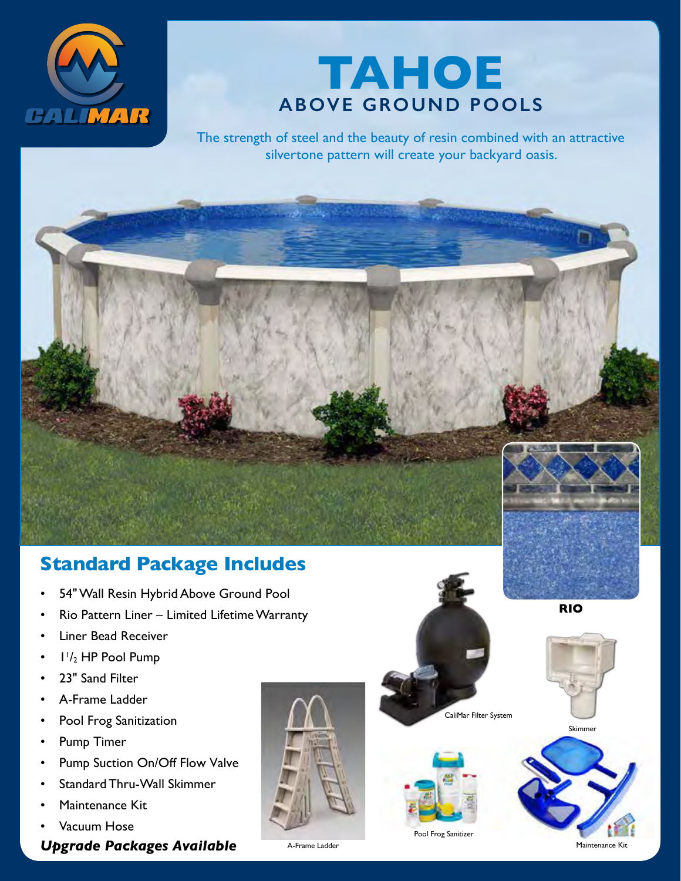



The strength of steel and the beauty of resin combined with an attractive silvertone pattern will create your backyard oasis.

#### **Standard Package Includes**

- 54" Wall Resin Hybrid Above Ground Pool
- Rio Pattern Liner Limited Lifetime Warranty
- Liner Bead Receiver
- $\cdot$   $1\frac{1}{2}$  HP Pool Pump
- 23" Sand Filter
- A-Frame Ladder
- Pool Frog Sanitization
- Pump Timer
- Pump Suction On/Off Flow Valve
- Standard Thru-Wall Skimmer
- Maintenance Kit
- Vacuum Hose

*Upgrade Packages Available*





CaliMar Filter System

Pool Frog Sanitizer



**RIO**



A-Frame Ladder Maintenance Kitchen and American Control of Maintenance Kitchen and Maintenance Kitchen and Maintenance Kitchen and Maintenance Kitchen and Maintenance Kitchen and Maintenance Kitchen and Maintenance Kitchen